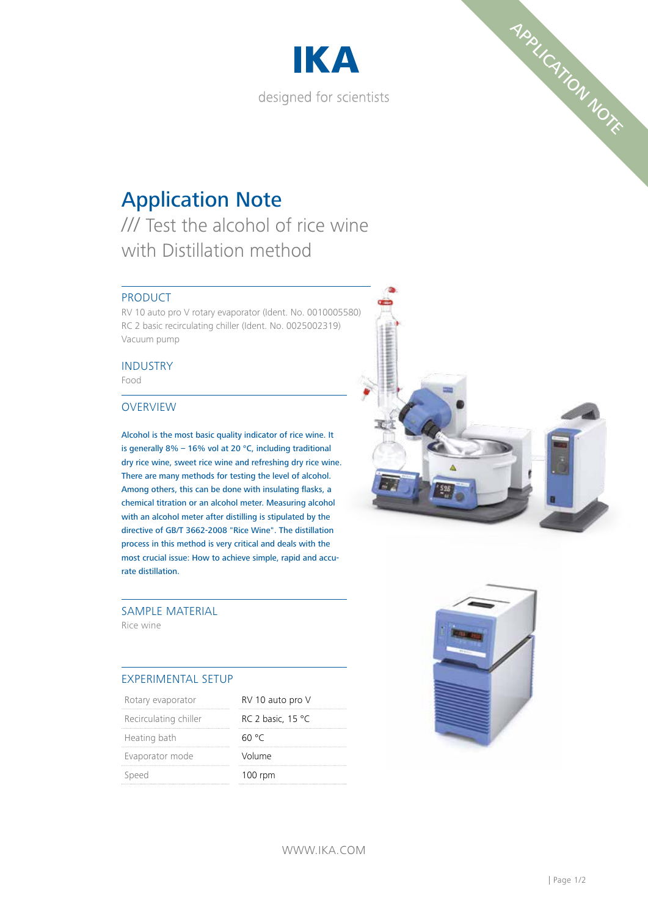



# Application Note

/// Test the alcohol of rice wine with Distillation method

#### PRODUCT

RV 10 auto pro V rotary evaporator (Ident. No. 0010005580) RC 2 basic recirculating chiller (Ident. No. 0025002319) Vacuum pump

## INDUSTRY

Food

#### OVERVIEW

Alcohol is the most basic quality indicator of rice wine. It is generally 8% – 16% vol at 20 °C, including traditional dry rice wine, sweet rice wine and refreshing dry rice wine. There are many methods for testing the level of alcohol. Among others, this can be done with insulating flasks, a chemical titration or an alcohol meter. Measuring alcohol with an alcohol meter after distilling is stipulated by the directive of GB/T 3662-2008 "Rice Wine". The distillation process in this method is very critical and deals with the most crucial issue: How to achieve simple, rapid and accurate distillation.

### SAMPLE MATERIAL

Rice wine

#### EXPERIMENTAL SETUP

| Rotary evaporator     | RV 10 auto pro V  |
|-----------------------|-------------------|
| Recirculating chiller | RC 2 basic, 15 °C |
| Heating bath          | 60 °C             |
| Evaporator mode       | Volume            |
| Speed                 | $100$ rpm         |